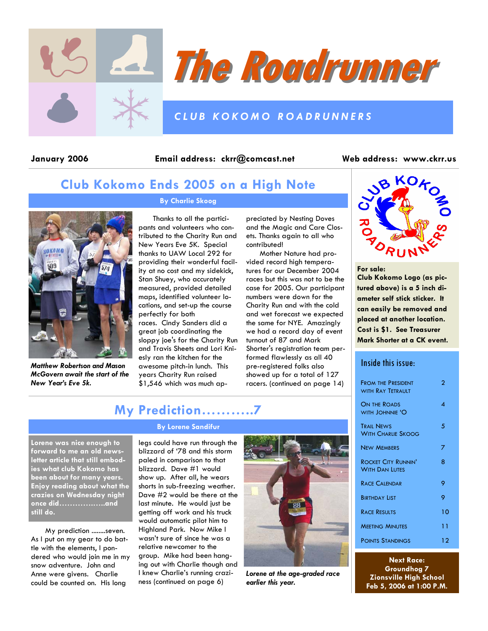



### *CLUB KOKOMO ROADRUNNERS*

January 2006 Email address: ckrr@comcast.net Web address: www.ckrr.us

# **Club Kokomo Ends 2005 on a High Note**



*Matthew Robertson and Mason McGovern await the start of the New Year's Eve 5k.* 

### **By Charlie Skoog**

Thanks to all the participants and volunteers who contributed to the Charity Run and New Years Eve 5K. Special thanks to UAW Local 292 for providing their wonderful facility at no cost and my sidekick, Stan Shuey, who accurately measured, provided detailed maps, identified volunteer locations, and set-up the course perfectly for both

races. Cindy Sanders did a great job coordinating the sloppy joe's for the Charity Run and Travis Sheets and Lori Kniesly ran the kitchen for the awesome pitch-in lunch. This years Charity Run raised \$1,546 which was much ap-

preciated by Nesting Doves and the Magic and Care Closets. Thanks again to all who contributed!

Mother Nature had provided record high temperatures for our December 2004 races but this was not to be the case for 2005. Our participant numbers were down for the Charity Run and with the cold and wet forecast we expected the same for NYE. Amazingly we had a record day of event turnout of 87 and Mark Shorter's registration team performed flawlessly as all 40 pre-registered folks also showed up for a total of 127 racers. (continued on page 14)



**For sale:** 

**Club Kokomo Logo (as pictured above) is a 5 inch diameter self stick sticker. It can easily be removed and placed at another location. Cost is \$1. See Treasurer Mark Shorter at a CK event.** 

### Inside this issue:

| <b>FROM THE PRESIDENT</b><br>WITH RAY TETRALILT | 2  |
|-------------------------------------------------|----|
| <b>ON THE ROADS</b><br>WITH JOHNNIE 'O          | ⊿  |
| <b>TRAIL NEWS</b><br><b>WITH CHARLIE SKOOG</b>  | 5  |
| <b>NEW MEMBERS</b>                              | 7  |
| <b>ROCKET CITY RUNNIN'</b><br>With Dan Lutes    | 8  |
| RACE CALENDAR                                   | 9  |
| <b>BIRTHDAY LIST</b>                            | 9  |
| <b>RACE RESULTS</b>                             | 10 |
| <b>MEETING MINUTES</b>                          | 11 |
| <b>POINTS STANDINGS</b>                         | 12 |

**Next Race: Groundhog 7 Zionsville High School Feb 5, 2006 at 1:00 P.M.** 

# **My Prediction………..7**

#### **Lorene was nice enough to forward to me an old newsletter article that still embodies what club Kokomo has been about for many years. Enjoy reading about what the crazies on Wednesday night once did………….…..and still do.**

My prediction ........seven. As I put on my gear to do battle with the elements, I pondered who would join me in my snow adventure. John and Anne were givens. Charlie could be counted on. His long

#### **By Lorene Sandifur**

legs could have run through the blizzard of '78 and this storm paled in comparison to that blizzard. Dave #1 would show up. After all, he wears shorts in sub-freezing weather. Dave #2 would be there at the last minute. He would just be getting off work and his truck would automatic pilot him to Highland Park. Now Mike I wasn't sure of since he was a relative newcomer to the group. Mike had been hanging out with Charlie though and I knew Charlie's running craziness (continued on page 6)



*Lorene at the age-graded race earlier this year.*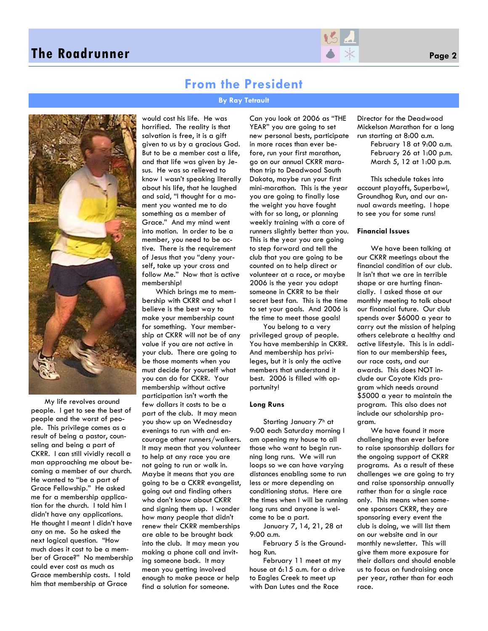

### **From the President**

**By Ray Tetrault** 



My life revolves around people. I get to see the best of people and the worst of people. This privilege comes as a result of being a pastor, counseling and being a part of CKRR. I can still vividly recall a man approaching me about becoming a member of our church. He wanted to "be a part of Grace Fellowship." He asked me for a membership application for the church. I told him I didn't have any applications. He thought I meant I didn't have any on me. So he asked the next logical question. "How much does it cost to be a member of Grace?" No membership could ever cost as much as Grace membership costs. I told him that membership at Grace

would cost his life. He was horrified. The reality is that salvation is free, it is a gift given to us by a gracious God. But to be a member cost a life, and that life was given by Jesus. He was so relieved to know I wasn't speaking literally about his life, that he laughed and said, "I thought for a moment you wanted me to do something as a member of Grace." And my mind went into motion. In order to be a member, you need to be active. There is the requirement of Jesus that you "deny yourself, take up your cross and follow Me." Now that is active membership!

Which brings me to membership with CKRR and what I believe is the best way to make your membership count for something. Your membership at CKRR will not be of any value if you are not active in your club. There are going to be those moments when you must decide for yourself what you can do for CKRR. Your membership without active participation isn't worth the few dollars it costs to be a part of the club. It may mean you show up on Wednesday evenings to run with and encourage other runners/walkers. It may mean that you volunteer to help at any race you are not going to run or walk in. Maybe it means that you are going to be a CKRR evangelist, going out and finding others who don't know about CKRR and signing them up. I wonder how many people that didn't renew their CKRR memberships are able to be brought back into the club. It may mean you making a phone call and inviting someone back. It may mean you getting involved enough to make peace or help find a solution for someone.

Can you look at 2006 as "THE YEAR" you are going to set new personal bests, participate in more races than ever before, run your first marathon, go on our annual CKRR marathon trip to Deadwood South Dakota, maybe run your first mini-marathon. This is the year you are going to finally lose the weight you have fought with for so long, or planning weekly training with a core of runners slightly better than you. This is the year you are going to step forward and tell the club that you are going to be counted on to help direct or volunteer at a race, or maybe 2006 is the year you adopt someone in CKRR to be their secret best fan. This is the time to set your goals. And 2006 is the time to meet those goals!

You belong to a very privileged group of people. You have membership in CKRR. And membership has privileges, but it is only the active members that understand it best. 2006 is filled with opportunity!

#### **Long Runs**

Starting January 7h at 9:00 each Saturday morning I am opening my house to all those who want to begin running long runs. We will run loops so we can have varying distances enabling some to run less or more depending on conditioning status. Here are the times when I will be running long runs and anyone is welcome to be a part.

January 7, 14, 21, 28 at 9:00 a.m.

February 5 is the Groundhog Run.

February 11 meet at my house at 6:15 a.m. for a drive to Eagles Creek to meet up with Dan Lutes and the Race

Director for the Deadwood Mickelson Marathon for a long run starting at 8:00 a.m.

> February 18 at 9:00 a.m. February 26 at 1:00 p.m. March 5, 12 at 1:00 p.m.

This schedule takes into account playoffs, Superbowl, Groundhog Run, and our annual awards meeting. I hope to see you for some runs!

#### **Financial Issues**

We have been talking at our CKRR meetings about the financial condition of our club. It isn't that we are in terrible shape or are hurting financially. I asked those at our monthly meeting to talk about our financial future. Our club spends over \$6000 a year to carry out the mission of helping others celebrate a healthy and active lifestyle. This is in addition to our membership fees, our race costs, and our awards. This does NOT include our Coyote Kids program which needs around \$5000 a year to maintain the program. This also does not include our scholarship program.

We have found it more challenging than ever before to raise sponsorship dollars for the ongoing support of CKRR programs. As a result of these challenges we are going to try and raise sponsorship annually rather than for a single race only. This means when someone sponsors CKRR, they are sponsoring every event the club is doing, we will list them on our website and in our monthly newsletter. This will give them more exposure for their dollars and should enable us to focus on fundraising once per year, rather than for each race.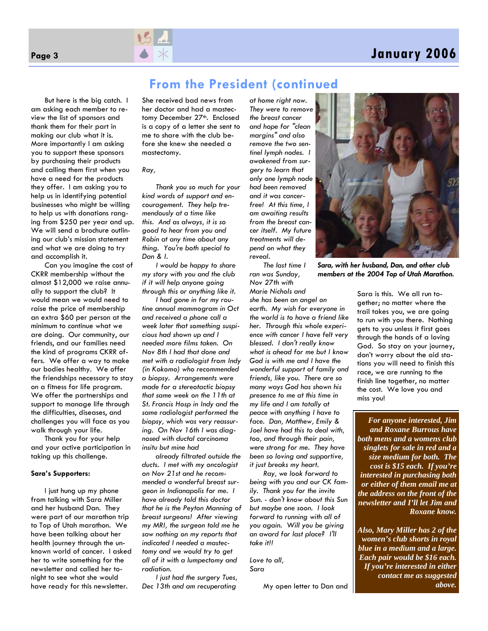# **Page 3 January 2006**



But here is the big catch. I am asking each member to review the list of sponsors and thank them for their part in making our club what it is. More importantly I am asking you to support these sponsors by purchasing their products and calling them first when you have a need for the products they offer. I am asking you to help us in identifying potential businesses who might be willing to help us with donations ranging from \$250 per year and up. We will send a brochure outlining our club's mission statement and what we are doing to try and accomplish it.

Can you imagine the cost of CKRR membership without the almost \$12,000 we raise annually to support the club? It would mean we would need to raise the price of membership an extra \$60 per person at the minimum to continue what we are doing. Our community, our friends, and our families need the kind of programs CKRR offers. We offer a way to make our bodies healthy. We offer the friendships necessary to stay on a fitness for life program. We offer the partnerships and support to manage life through the difficulties, diseases, and challenges you will face as you walk through your life.

Thank you for your help and your active participation in taking up this challenge.

#### **Sara's Supporters:**

I just hung up my phone from talking with Sara Miller and her husband Dan. They were part of our marathon trip to Top of Utah marathon. We have been talking about her health journey through the unknown world of cancer. I asked her to write something for the newsletter and called her tonight to see what she would have ready for this newsletter.

She received bad news from her doctor and had a mastectomy December 27th. Enclosed is a copy of a letter she sent to me to share with the club before she knew she needed a mastectomy.

#### *Ray,*

*Thank you so much for your kind words of support and encouragement. They help tremendously at a time like this. And as always, it is so good to hear from you and Robin at any time about any thing. You're both special to Dan & I.* 

*I would be happy to share my story with you and the club if it will help anyone going through this or anything like it.* 

*I had gone in for my routine annual mammogram in Oct and received a phone call a week later that something suspicious had shown up and I needed more films taken. On Nov 8th I had that done and met with a radiologist from Indy (in Kokomo) who recommended a biopsy. Arrangements were made for a stereotactic biopsy that same week on the 11th at St. Francis Hosp in Indy and the same radiologist performed the biopsy, which was very reassuring. On Nov 16th I was diagnosed with ductal carcinoma insitu but mine had* 

*already filtrated outside the ducts. I met with my oncologist on Nov 21st and he recommended a wonderful breast surgeon in Indianapolis for me. I have already told this doctor that he is the Peyton Manning of breast surgeons! After viewing my MRI, the surgeon told me he saw nothing on my reports that indicated I needed a mastectomy and we would try to get all of it with a lumpectomy and radiation.* 

*I just had the surgery Tues, Dec 13th and am recuperating*  *at home right now. They were to remove the breast cancer and hope for "clean margins" and also remove the two sentinel lymph nodes. I awakened from surgery to learn that only one lymph node had been removed and it was cancerfree! At this time, I am awaiting results from the breast cancer itself. My future treatments will depend on what they reveal.* 

**From the President (continued** 

*The last time I ran was Sunday, Nov 27th with Marie Nichols and* 

*she has been an angel on earth. My wish for everyone in the world is to have a friend like her. Through this whole experience with cancer I have felt very blessed. I don't really know what is ahead for me but I know God is with me and I have the wonderful support of family and friends, like you. There are so many ways God has shown his presence to me at this time in my life and I am totally at peace with anything I have to face. Dan, Matthew, Emily & Joel have had this to deal with, too, and through their pain, were strong for me. They have been so loving and supportive, it just breaks my heart.* 

*Ray, we look forward to being with you and our CK family. Thank you for the invite Sun. - don't know about this Sun but maybe one soon. I look forward to running with all of you again. Will you be giving an award for last place? I'll take it!!* 

*Love to all, Sara* 

My open letter to Dan and



*Sara, with her husband, Dan, and other club members at the 2004 Top of Utah Marathon.* 

Sara is this. We all run together; no matter where the trail takes you, we are going to run with you there. Nothing gets to you unless it first goes through the hands of a loving God. So stay on your journey, don't worry about the aid stations you will need to finish this race, we are running to the finish line together, no matter the cost. We love you and miss you!

*For anyone interested, Jim and Roxane Burrous have both mens and a womens club singlets for sale in red and a size medium for both. The cost is \$15 each. If you're interested in purchasing both or either of them email me at the address on the front of the newsletter and I'll let Jim and Roxane know.* 

*Also, Mary Miller has 2 of the women's club shorts in royal blue in a medium and a large. Each pair would be \$16 each. If you're interested in either contact me as suggested above.*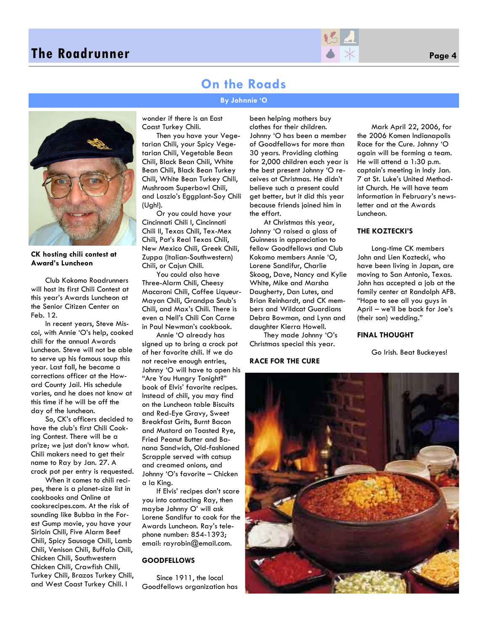

## **On the Roads**

#### **By Johnnie 'O**



#### **CK hosting chili contest at Award's Luncheon**

Club Kokomo Roadrunners will host its first Chili Contest at this year's Awards Luncheon at the Senior Citizen Center on Feb. 12.

In recent years, Steve Miscoi, with Annie 'O's help, cooked chili for the annual Awards Luncheon. Steve will not be able to serve up his famous soup this year. Last fall, he became a corrections officer at the Howard County Jail. His schedule varies, and he does not know at this time if he will be off the day of the luncheon.

So, CK's officers decided to have the club's first Chili Cooking Contest. There will be a prize; we just don't know what. Chili makers need to get their name to Ray by Jan. 27. A crock pot per entry is requested.

When it comes to chili recipes, there is a planet-size list in cookbooks and Online at cooksrecipes.com. At the risk of sounding like Bubba in the Forest Gump movie, you have your Sirloin Chili, Five Alarm Beef Chili, Spicy Sausage Chili, Lamb Chili, Venison Chili, Buffalo Chili, Chicken Chili, Southwestern Chicken Chili, Crawfish Chili, Turkey Chili, Brazos Turkey Chili, and West Coast Turkey Chili. I

wonder if there is an East Coast Turkey Chili.

Then you have your Vegetarian Chili, your Spicy Vegetarian Chili, Vegetable Bean Chili, Black Bean Chili, White Bean Chili, Black Bean Turkey Chili, White Bean Turkey Chili, Mushroom Superbowl Chili, and Laszlo's Eggplant-Soy Chili (Ugh!).

Or you could have your Cincinnati Chili I, Cincinnati Chili II, Texas Chili, Tex-Mex Chili, Pat's Real Texas Chili, New Mexico Chili, Greek Chili, Zuppa (Italian-Southwestern) Chili, or Cajun Chili.

You could also have Three-Alarm Chili, Cheesy Macaroni Chili, Coffee Liqueur-Mayan Chili, Grandpa Snub's Chili, and Max's Chili. There is even a Nell's Chili Con Carne in Paul Newman's cookbook.

Annie 'O already has signed up to bring a crock pot of her favorite chili. If we do not receive enough entries, Johnny 'O will have to open his "Are You Hungry Tonight?" book of Elvis' favorite recipes. Instead of chili, you may find on the Luncheon table Biscuits and Red-Eye Gravy, Sweet Breakfast Grits, Burnt Bacon and Mustard on Toasted Rye, Fried Peanut Butter and Banana Sandwich, Old-fashioned Scrapple served with catsup and creamed onions, and Johnny 'O's favorite – Chicken a la King.

If Elvis' recipes don't scare you into contacting Ray, then maybe Johnny O' will ask Lorene Sandifur to cook for the Awards Luncheon. Ray's telephone number: 854-1393; email: rayrobin@email.com.

#### **GOODFELLOWS**

Since 1911, the local Goodfellows organization has been helping mothers buy clothes for their children. Johnny 'O has been a member of Goodfellows for more than 30 years. Providing clothing for 2,000 children each year is the best present Johnny 'O receives at Christmas. He didn't believe such a present could get better, but it did this year because friends joined him in the effort.

At Christmas this year, Johnny 'O raised a glass of Guinness in appreciation to fellow Goodfellows and Club Kokomo members Annie 'O, Lorene Sandifur, Charlie Skoog, Dave, Nancy and Kylie White, Mike and Marsha Daugherty, Dan Lutes, and Brian Reinhardt, and CK members and Wildcat Guardians Debra Bowman, and Lynn and daughter Kierra Howell.

They made Johnny 'O's Christmas special this year.

#### **RACE FOR THE CURE**

Mark April 22, 2006, for the 2006 Komen Indianapolis Race for the Cure. Johnny 'O again will be forming a team. He will attend a 1:30 p.m. captain's meeting in Indy Jan. 7 at St. Luke's United Methodist Church. He will have team information in February's newsletter and at the Awards Luncheon.

#### **THE KOZTECKI'S**

Long-time CK members John and Lien Koztecki, who have been living in Japan, are moving to San Antonio, Texas. John has accepted a job at the family center at Randolph AFB. "Hope to see all you guys in April – we'll be back for Joe's (their son) wedding."

#### **FINAL THOUGHT**

Go Irish. Beat Buckeyes!

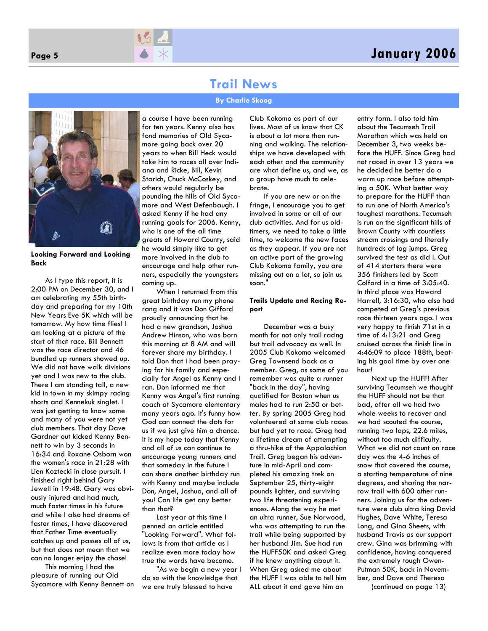### **Page 5 January 2006**

### **Trail News**

#### **By Charlie Skoog**



**Looking Forward and Looking Back**

As I type this report, it is 2:00 PM on December 30, and I am celebrating my 55th birthday and preparing for my 10th New Years Eve 5K which will be tomorrow. My how time flies! I am looking at a picture of the start of that race. Bill Bennett was the race director and 46 bundled up runners showed up. We did not have walk divisions yet and I was new to the club. There I am standing tall, a new kid in town in my skimpy racing shorts and Kennekuk singlet. I was just getting to know some and many of you were not yet club members. That day Dave Gardner out kicked Kenny Bennett to win by 3 seconds in 16:34 and Roxane Osborn won the women's race in 21:28 with Lien Koztecki in close pursuit. I finished right behind Gary Jewell in 19:48. Gary was obviously injured and had much, much faster times in his future and while I also had dreams of faster times, I have discovered that Father Time eventually catches up and passes all of us, but that does not mean that we can no longer enjoy the chase!

This morning I had the pleasure of running out Old Sycamore with Kenny Bennett on

a course I have been running for ten years. Kenny also has fond memories of Old Sycamore going back over 20 years to when Bill Heck would take him to races all over Indiana and Ricke, Bill, Kevin Starich, Chuck McCoskey, and others would regularly be pounding the hills of Old Sycamore and West Defenbaugh. I asked Kenny if he had any running goals for 2006. Kenny, who is one of the all time greats of Howard County, said he would simply like to get more involved in the club to encourage and help other runners, especially the youngsters coming up.

When I returned from this great birthday run my phone rang and it was Don Gifford proudly announcing that he had a new grandson, Joshua Andrew Hinson, who was born this morning at 8 AM and will forever share my birthday. I told Don that I had been praying for his family and especially for Angel as Kenny and I ran. Don informed me that Kenny was Angel's first running coach at Sycamore elementary many years ago. It's funny how God can connect the dots for us if we just give him a chance. It is my hope today that Kenny and all of us can continue to encourage young runners and that someday in the future I can share another birthday run with Kenny and maybe include Don, Angel, Joshua, and all of you! Can life get any better than that?

Last year at this time I penned an article entitled "Looking Forward". What follows is from that article as I realize even more today how true the words have become.

"As we begin a new year I do so with the knowledge that we are truly blessed to have

Club Kokomo as part of our lives. Most of us know that CK is about a lot more than running and walking. The relationships we have developed with each other and the community are what define us, and we, as a group have much to celebrate.

If you are new or on the fringe, I encourage you to get involved in some or all of our club activities. And for us oldtimers, we need to take a little time, to welcome the new faces as they appear. If you are not an active part of the growing Club Kokomo family, you are missing out on a lot, so join us soon."

#### **Trails Update and Racing Report**

December was a busy month for not only trail racing but trail advocacy as well. In 2005 Club Kokomo welcomed Greg Townsend back as a member. Greg, as some of you remember was quite a runner "back in the day", having qualified for Boston when us males had to run 2:50 or better. By spring 2005 Greg had volunteered at some club races but had yet to race. Greg had a lifetime dream of attempting a thru-hike of the Appalachian Trail. Greg began his adventure in mid-April and completed his amazing trek on September 25, thirty-eight pounds lighter, and surviving two life threatening experiences. Along the way he met an ultra runner, Sue Norwood, who was attempting to run the trail while being supported by her husband Jim. Sue had run the HUFF50K and asked Greg if he knew anything about it. When Greg asked me about the HUFF I was able to tell him ALL about it and gave him an

entry form. I also told him about the Tecumseh Trail Marathon which was held on December 3, two weeks before the HUFF. Since Greg had not raced in over 13 years we he decided he better do a warm up race before attempting a 50K. What better way to prepare for the HUFF than to run one of North America's toughest marathons. Tecumseh is run on the significant hills of Brown County with countless stream crossings and literally hundreds of log jumps. Greg survived the test as did I. Out of 414 starters there were 356 finishers led by Scott Colford in a time of 3:05:40. In third place was Howard Harrell, 3:16:30, who also had competed at Greg's previous race thirteen years ago. I was very happy to finish 71st in a time of 4:13:21 and Greg cruised across the finish line in 4:46:09 to place 188th, beating his goal time by over one hour!

Next up the HUFF! After surviving Tecumseh we thought the HUFF should not be that bad, after all we had two whole weeks to recover and we had scouted the course, running two laps, 22.6 miles, without too much difficulty. What we did not count on race day was the 4-6 inches of snow that covered the course, a starting temperature of nine degrees, and sharing the narrow trail with 600 other runners. Joining us for the adventure were club ultra king David Hughes, Dave White, Teresa Long, and Gina Sheets, with husband Travis as our support crew. Gina was brimming with confidence, having conquered the extremely tough Owen-Putman 50K, back in November, and Dave and Theresa (continued on page 13)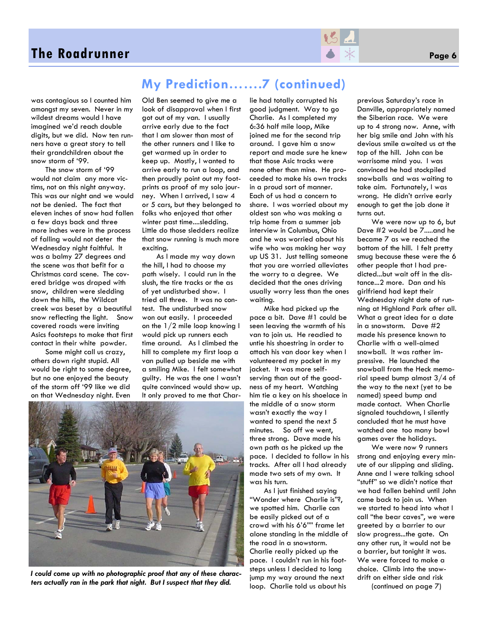

was contagious so I counted him amongst my seven. Never in my wildest dreams would I have imagined we'd reach double digits, but we did. Now ten runners have a great story to tell their grandchildren about the snow storm of '99.

The snow storm of '99 would not claim any more victims, not on this night anyway. This was our night and we would not be denied. The fact that eleven inches of snow had fallen a few days back and three more inches were in the process of falling would not deter the Wednesday night faithful. It was a balmy 27 degrees and the scene was that befit for a Christmas card scene. The covered bridge was draped with snow, children were sledding down the hills, the Wildcat creek was beset by a beautiful snow reflecting the light. Snow covered roads were inviting Asics footsteps to make that first contact in their white powder.

Some might call us crazy, others down right stupid. All would be right to some degree, but no one enjoyed the beauty of the storm off '99 like we did on that Wednesday night. Even

### **My Prediction…….7 (continued)**

Old Ben seemed to give me a look of disapproval when I first got out of my van. I usually arrive early due to the fact that I am slower than most of the other runners and I like to get warmed up in order to keep up. Mostly, I wanted to arrive early to run a loop, and then proudly point out my footprints as proof of my solo journey. When I arrived, I saw 4 or 5 cars, but they belonged to folks who enjoyed that other winter past time....sledding. Little do those sledders realize that snow running is much more exciting.

As I made my way down the hill, I had to choose my path wisely. I could run in the slush, the tire tracks or the as of yet undisturbed show. I tried all three. It was no contest. The undisturbed snow won out easily. I proceeded on the 1/2 mile loop knowing I would pick up runners each time around. As I climbed the hill to complete my first loop a van pulled up beside me with a smiling Mike. I felt somewhat guilty. He was the one I wasn't quite convinced would show up. It only proved to me that Charlie had totally corrupted his good judgment. Way to go Charlie. As I completed my 6:36 half mile loop, Mike joined me for the second trip around. I gave him a snow report and made sure he knew that those Asic tracks were none other than mine. He proceeded to make his own tracks in a proud sort of manner. Each of us had a concern to share. I was worried about my oldest son who was making a trip home from a summer job interview in Columbus, Ohio and he was worried about his wife who was making her way up US 31. Just telling someone that you are worried alleviates the worry to a degree. We decided that the ones driving usually worry less than the ones waiting.

Mike had picked up the pace a bit. Dave #1 could be seen leaving the warmth of his van to join us. He readied to untie his shoestring in order to attach his van door key when I volunteered my pocket in my jacket. It was more selfserving than out of the goodness of my heart. Watching him tie a key on his shoelace in the middle of a snow storm wasn't exactly the way I wanted to spend the next 5 minutes. So off we went, three strong. Dave made his own path as he picked up the pace. I decided to follow in his tracks. After all I had already made two sets of my own. It was his turn.

As I just finished saying "Wonder where Charlie is"?, we spotted him. Charlie can be easily picked out of a crowd with his 6'6"" frame let alone standing in the middle of the road in a snowstorm. Charlie really picked up the pace. I couldn't run in his footsteps unless I decided to long jump my way around the next loop. Charlie told us about his

previous Saturday's race in Danville, appropriately named the Siberian race. We were up to 4 strong now. Anne, with her big smile and John with his devious smile awaited us at the top of the hill. John can be worrisome mind you. I was convinced he had stockpiled snowballs and was waiting to take aim. Fortunately, I was wrong. He didn't arrive early enough to get the job done it turns out.

We were now up to 6, but Dave #2 would be 7.....and he became 7 as we reached the bottom of the hill. I felt pretty smug because these were the 6 other people that I had predicted...but wait off in the distance...2 more. Dan and his girlfriend had kept their Wednesday night date of running at Highland Park after all. What a great idea for a date in a snowstorm. Dave #2 made his presence known to Charlie with a well-aimed snowball. It was rather impressive. He launched the snowball from the Heck memorial speed bump almost 3/4 of the way to the next (yet to be named) speed bump and made contact. When Charlie sianaled touchdown, I silently concluded that he must have watched one too many bowl games over the holidays.

We were now 9 runners strong and enjoying every minute of our slipping and sliding. Anne and I were talking school "stuff" so we didn't notice that we had fallen behind until John came back to join us. When we started to head into what I call "the bear caves", we were greeted by a barrier to our slow progress...the gate. On any other run, it would not be a barrier, but tonight it was. We were forced to make a choice. Climb into the snowdrift on either side and risk (continued on page 7)



*I could come up with no photographic proof that any of these characters actually ran in the park that night. But I suspect that they did.*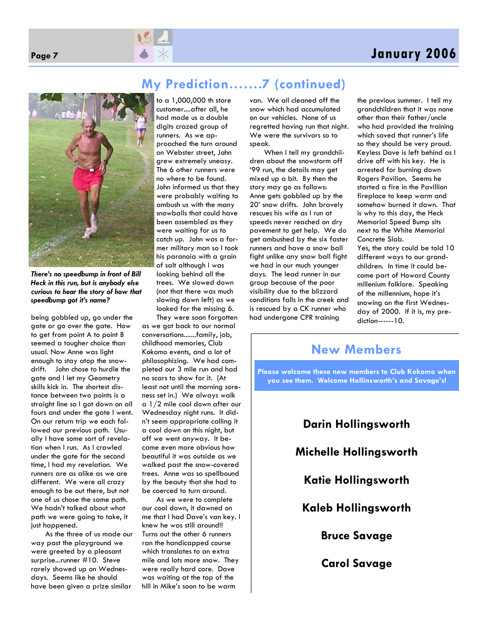# **Page 7 January 2006**





*There's no speedbump in front of Bill Heck in this run, but is anybody else curious to hear the story of how that speedbump got it's name?* 

being gobbled up, go under the gate or go over the gate. How to get from point A to point B seemed a tougher choice than usual. Now Anne was light enough to stay atop the snowdrift. John chose to hurdle the gate and I let my Geometry skills kick in. The shortest distance between two points is a straight line so I got down on all fours and under the gate I went. On our return trip we each followed our previous path. Usually I have some sort of revelation when I run. As I crawled under the gate for the second time, I had my revelation. We runners are as alike as we are different. We were all crazy enough to be out there, but not one of us chose the same path. We hadn't talked about what path we were going to take, it just happened.

As the three of us made our way past the playground we were greeted by a pleasant surprise...runner #10. Steve rarely showed up on Wednesdays. Seems like he should have been given a prize similar

to a 1,000,000 th store customer....after all, he had made us a double digits crazed group of runners. As we approached the turn around on Webster street, John grew extremely uneasy. The 6 other runners were no where to be found. John informed us that they were probably waiting to ambush us with the many snowballs that could have been assembled as they were waiting for us to catch up. John was a former military man so I took his paranoia with a grain of salt although I was looking behind all the trees. We slowed down (not that there was much slowing down left) as we looked for the missing 6.

They were soon forgotten as we got back to our normal conversations.......family, job, childhood memories, Club Kokomo events, and a lot of philosophizing. We had completed our 3 mile run and had no scars to show for it. (At least not until the morning soreness set in.) We always walk a 1/2 mile cool down after our Wednesday night runs. It didn't seem appropriate calling it a cool down on this night, but off we went anyway. It became even more obvious how beautiful it was outside as we walked past the snow-covered trees. Anne was so spellbound by the beauty that she had to be coerced to turn around.

As we were to complete our cool down, it dawned on me that I had Dave's van key. I knew he was still around!! Turns out the other 6 runners ran the handicapped course which translates to an extra mile and lots more snow. They were really hard core. Dave was waiting at the top of the hill in Mike's soon to be warm

van. We all cleaned off the snow which had accumulated on our vehicles. None of us regretted having run that night. We were the survivors so to speak.

When I tell my grandchildren about the snowstorm off '99 run, the details may get mixed up a bit. By then the story may go as follows: Anne gets gobbled up by the 20' snow drifts. John bravely rescues his wife as I run at speeds never reached on dry pavement to get help. We do get ambushed by the six faster runners and have a snow ball fight unlike any snow ball fight we had in our much younger days. The lead runner in our group because of the poor visibility due to the blizzard conditions falls in the creek and is rescued by a CK runner who had undergone CPR training

the previous summer. I tell my grandchildren that it was none other than their father/uncle who had provided the training which saved that runner's life so they should be very proud. Keyless Dave is left behind as I drive off with his key. He is arrested for burning down Rogers Pavilion. Seems he started a fire in the Pavillion fireplace to keep warm and somehow burned it down. That is why to this day, the Heck Memorial Speed Bump sits next to the White Memorial Concrete Slab. Yes, the story could be told 10

different ways to our grandchildren. In time it could become part of Howard County millenium folklore. Speaking of the millennium, hope it's snowing on the first Wednesday of 2000. If it is, my prediction------10.

### **New Members**

**Please welcome these new members to Club Kokomo when you see them. Welcome Hollinsworth's and Savage's!** 

> **Darin Hollingsworth Michelle Hollingsworth Katie Hollingsworth Kaleb Hollingsworth Bruce Savage Carol Savage**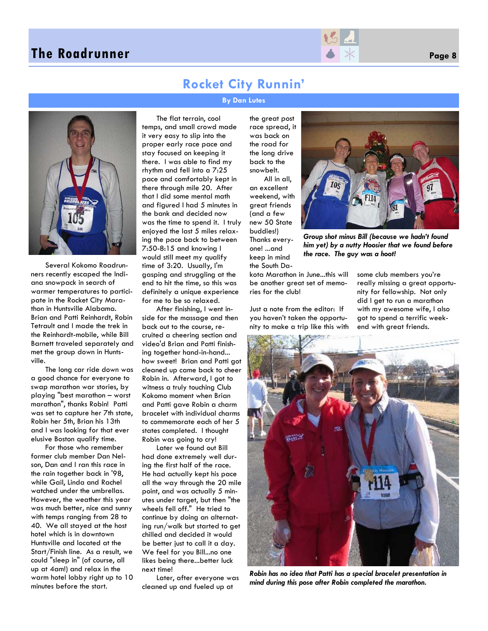### **The Roadrunner Page 8 Page 8 Page 8 Page 8**



### **Rocket City Runnin'**

**By Dan Lutes** 



Several Kokomo Roadrunners recently escaped the Indiana snowpack in search of warmer temperatures to participate in the Rocket City Marathon in Huntsville Alabama. Brian and Patti Reinhardt, Robin Tetrault and I made the trek in the Reinhardt-mobile, while Bill Barnett traveled separately and met the group down in Huntsville.

The long car ride down was a good chance for everyone to swap marathon war stories, by playing "best marathon – worst marathon", thanks Robin! Patti was set to capture her 7th state, Robin her 5th, Brian his 13th and I was looking for that ever elusive Boston qualify time.

For those who remember former club member Dan Nelson, Dan and I ran this race in the rain together back in '98, while Gail, Linda and Rachel watched under the umbrellas. However, the weather this year was much better, nice and sunny with temps ranging from 28 to 40. We all stayed at the host hotel which is in downtown Huntsville and located at the Start/Finish line. As a result, we could "sleep in" (of course, all up at 4am!) and relax in the warm hotel lobby right up to 10 minutes before the start.

The flat terrain, cool temps, and small crowd made it very easy to slip into the proper early race pace and stay focused on keeping it there. I was able to find my rhythm and fell into a 7:25 pace and comfortably kept in there through mile 20. After that I did some mental math and figured I had 5 minutes in the bank and decided now was the time to spend it. I truly enjoyed the last 5 miles relaxing the pace back to between 7:50-8:15 and knowing I would still meet my qualify time of 3:20. Usually, I'm gasping and struggling at the end to hit the time, so this was definitely a unique experience for me to be so relaxed.

After finishing, I went inside for the massage and then back out to the course, recruited a cheering section and video'd Brian and Patti finishing together hand-in-hand... how sweet! Brian and Patti got cleaned up came back to cheer Robin in. Afterward, I got to witness a truly touching Club Kokomo moment when Brian and Patti gave Robin a charm bracelet with individual charms to commemorate each of her 5 states completed. I thought Robin was going to cry!

Later we found out Bill had done extremely well during the first half of the race. He had actually kept his pace all the way through the 20 mile point, and was actually 5 minutes under target, but then "the wheels fell off." He tried to continue by doing an alternating run/walk but started to get chilled and decided it would be better just to call it a day. We feel for you Bill...no one likes being there...better luck next time!

Later, after everyone was cleaned up and fueled up at

the great post race spread, it was back on the road for the long drive back to the snowbelt.

All in all, an excellent weekend, with great friends (and a few new 50 State buddies!) Thanks everyone! ...and keep in mind the South Da-

kota Marathon in June...this will be another great set of memories for the club!

Just a note from the editor: If you haven't taken the opportunity to make a trip like this with



*Group shot minus Bill (because we hadn't found him yet) by a nutty Hoosier that we found before* 

*the race. The guy was a hoot!* 



*Robin has no idea that Patti has a special bracelet presentation in mind during this pose after Robin completed the marathon.*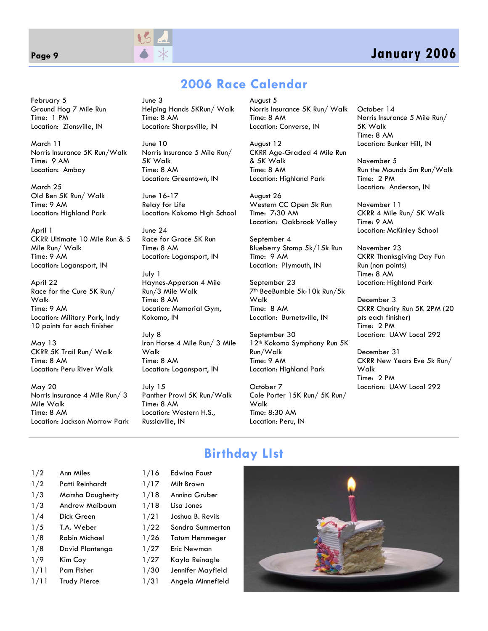

### **Page 9 January 2006**

February 5 Ground Hog 7 Mile Run Time: 1 PM Location: Zionsville, IN

March 11 Norris Insurance 5K Run/Walk Time: 9 AM Location: Amboy

March 25 Old Ben 5K Run/ Walk Time: 9 AM Location: Highland Park

April 1 CKRR Ultimate 10 Mile Run & 5 Mile Run/ Walk Time: 9 AM Location: Logansport, IN

April 22 Race for the Cure 5K Run/ Walk Time: 9 AM Location: Military Park, Indy 10 points for each finisher

May 13 CKRR 5K Trail Run/ Walk Time: 8 AM Location: Peru River Walk

May 20 Norris Insurance 4 Mile Run/ 3 Mile Walk Time: 8 AM Location: Jackson Morrow Park June 3 Helping Hands 5KRun/ Walk Time: 8 AM Location: Sharpsville, IN

June 10 Norris Insurance 5 Mile Run/ 5K Walk Time: 8 AM Location: Greentown, IN

June 16-17 Relay for Life Location: Kokomo High School

 $\lim_{9}$  24 Race for Grace 5K Run Time: 8 AM Location: Logansport, IN

July 1 Haynes-Apperson 4 Mile Run/3 Mile Walk Time: 8 AM Location: Memorial Gym, Kokomo, IN

July 8 Iron Horse 4 Mile Run/ 3 Mile Walk Time: 8 AM Location: Logansport, IN

July 15 Panther Prowl 5K Run/Walk Time: 8 AM Location: Western H.S., Russiaville, IN

August 5 Norris Insurance 5K Run/ Walk

**2006 Race Calendar** 

Time: 8 AM Location: Converse, IN

August 12 CKRR Age-Graded 4 Mile Run & 5K Walk Time: 8 AM Location: Highland Park

August 26 Western CC Open 5k Run Time: 7:30 AM Location: Oakbrook Valley

September 4 Blueberry Stomp 5k/15k Run Time: 9 AM Location: Plymouth, IN

September 23 7th BeeBumble 5k-10k Run/5k Walk Time: 8 AM Location: Burnetsville, IN

September 30 12th Kokomo Symphony Run 5K Run/Walk Time: 9 AM Location: Highland Park

October 7 Cole Porter 15K Run/ 5K Run/ Walk Time: 8:30 AM Location: Peru, IN

October 14 Norris Insurance 5 Mile Run/ 5K Walk Time: 8 AM Location: Bunker Hill, IN

November 5 Run the Mounds 5m Run/Walk Time: 2 PM Location: Anderson, IN

November 11 CKRR 4 Mile Run/ 5K Walk Time: 9 AM Location: McKinley School

November 23 CKRR Thanksgiving Day Fun Run (non points) Time: 8 AM Location: Highland Park

December 3 CKRR Charity Run 5K 2PM (20 pts each finisher) Time: 2 PM Location: UAW Local 292

December 31 CKRR New Years Eve 5k Run/ Walk Time: 2 PM Location: UAW Local 292

### **Birthday LIst**

1/2 Ann Miles 1/2 Patti Reinhardt 1/3 Marsha Daugherty 1/3 Andrew Maibaum

- 1/4 Dick Green
- 1/5 T.A. Weber
- 1/8 Robin Michael
- 1/8 David Plantenga
- 1/9 Kim Coy
- 1/11 Pam Fisher
- 1/11 Trudy Pierce
- 1/16 Edwina Faust 1/17 Milt Brown
- 1/18 Annina Gruber
- 1/18 Lisa Jones
	-
- 1/21 Joshua B. Revils
- 1/22 Sondra Summerton
- 1/26 Tatum Hemmeger
- 1/27 Eric Newman 1/27 Kayla Reinagle
- 1/30 Jennifer Mayfield
	-
- 1/31 Angela Minnefield

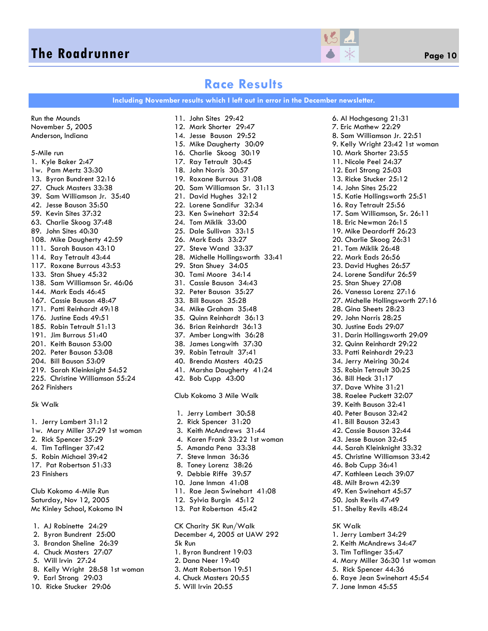### **The Roadrunner** *Page 10* **<b>Page 10** *Page 10*



### **Race Results**

**Including November results which I left out in error in the December newsletter.** 

Run the Mounds November 5, 2005 Anderson, Indiana 5-Mile run 1. Kyle Baker 2:47 1w. Pam Mertz 33:30 13. Byron Bundrent 32:16 27. Chuck Masters 33:38 39. Sam Williamson Jr. 35:40 42. Jesse Bauson 35:50 59. Kevin Sites 37:32 63. Charlie Skoog 37:48 89. John Sites 40:30 108. Mike Daugherty 42:59 111. Sarah Bauson 43:10 114. Ray Tetrault 43:44 117. Roxane Burrous 43:53 133. Stan Shuey 45:32 138. Sam Williamson Sr. 46:06 144. Mark Eads 46:45 167. Cassie Bauson 48:47 171. Patti Reinhardt 49:18 176. Justine Eads 49:51 185. Robin Tetrault 51:13 191. Jim Burrous 51:40 201. Keith Bauson 53:00 202. Peter Bauson 53:08 204. Bill Bauson 53:09 219. Sarah Kleinknight 54:52 225. Christine Williamson 55:24 262 Finishers

#### 5k Walk

1. Jerry Lambert 31:12 1w. Mary Miller 37:29 1st woman 2. Rick Spencer 35:29 4. Tim Taflinger 37:42 5. Robin Michael 39:42 17. Pat Robertson 51:33 23 Finishers

Club Kokomo 4-Mile Run Saturday, Nov 12, 2005 Mc Kinley School, Kokomo IN

- 1. AJ Robinette 24:29
- 2. Byron Bundrent 25:00
- 3. Brandon Sheline 26:39
- 4. Chuck Masters 27:07
- 5. Will Irvin 27:24
- 8. Kelly Wright 28:58 1st woman
- 9. Earl Strong 29:03
- 10. Ricke Stucker 29:06

11. John Sites 29:42 12. Mark Shorter 29:47 14. Jesse Bauson 29:52 15. Mike Daugherty 30:09 16. Charlie Skoog 30:19 17. Ray Tetrault 30:45 18. John Norris 30:57 19. Roxane Burrous 31:08 20. Sam Williamson Sr. 31:13 21. David Hughes 32:12 22. Lorene Sandifur 32:34 23. Ken Swinehart 32:54 24. Tom Miklik 33:00 25. Dale Sullivan 33:15 26. Mark Eads 33:27 27. Steve Wand 33:37 28. Michelle Hollingsworth 33:41 29. Stan Shuey 34:05 30. Tami Moore 34:14 31. Cassie Bauson 34:43 32. Peter Bauson 35:27 33. Bill Bauson 35:28 34. Mike Graham 35:48 35. Quinn Reinhardt 36:13 36. Brian Reinhardt 36:13 37. Amber Longwith 36:28 38. James Longwith 37:30 39. Robin Tetrault 37:41 40. Brenda Masters 40:25 41. Marsha Daugherty 41:24 42. Bob Cupp 43:00 Club Kokomo 3 Mile Walk 1. Jerry Lambert 30:58 2. Rick Spencer 31:20 3. Keith McAndrews 31:44 4. Karen Frank 33:22 1st woman 5. Amanda Pena 33:38 7. Steve Inman 36:36 8. Toney Lorenz 38:26 9. Debbie Riffe 39:57 10. Jane Inman 41:08

- 11. Rae Jean Swinehart 41:08
- 12. Sylvia Burgin 45:12
- 13. Pat Robertson 45:42

CK Charity 5K Run/Walk December 4, 2005 at UAW 292 5k Run 1. Byron Bundrent 19:03 2. Dana Neer 19:40 3. Matt Robertson 19:51 4. Chuck Masters 20:55 5. Will Irvin 20:55

6. Al Hochgesang 21:31 7. Eric Mathew 22:29 8. Sam Williamson Jr. 22:51 9. Kelly Wright 23:42 1st woman 10. Mark Shorter 23:55 11. Nicole Peel 24:37 12. Earl Strong 25:03 13. Ricke Stucker 25:12 14. John Sites 25:22 15. Katie Hollingsworth 25:51 16. Ray Tetrault 25:56 17. Sam Williamson, Sr. 26:11 18. Eric Newman 26:15 19. Mike Deardorff 26:23 20. Charlie Skoog 26:31 21. Tom Miklik 26:48 22. Mark Eads 26:56 23. David Hughes 26:57 24. Lorene Sandifur 26:59 25. Stan Shuey 27:08 26. Vanessa Lorenz 27:16 27. Michelle Hollingsworth 27:16 28. Gina Sheets 28:23 29. John Norris 28:25 30. Justine Eads 29:07 31. Darin Hollingsworth 29:09 32. Quinn Reinhardt 29:22 33. Patti Reinhardt 29:23 34. Jerry Meiring 30:24 35. Robin Tetrault 30:25 36. Bill Heck 31:17 37. Dave White 31:21 38. Raelee Puckett 32:07 39. Keith Bauson 32:41 40. Peter Bauson 32:42 41. Bill Bauson 32:43 42. Cassie Bauson 32:44 43. Jesse Bauson 32:45 44. Sarah Kleinknight 33:32 45. Christine Williamson 33:42 46. Bob Cupp 36:41 47. Kathleen Leach 39:07 48. Milt Brown 42:39 49. Ken Swinehart 45:57 50. Josh Revils 47:49 51. Shelby Revils 48:24 5K Walk 1. Jerry Lambert 34:29 2. Keith McAndrews 34:47 3. Tim Taflinger 35:47 4. Mary Miller 36:30 1st woman 5. Rick Spencer 44:36 6. Raye Jean Swinehart 45:54 7. Jane Inman 45:55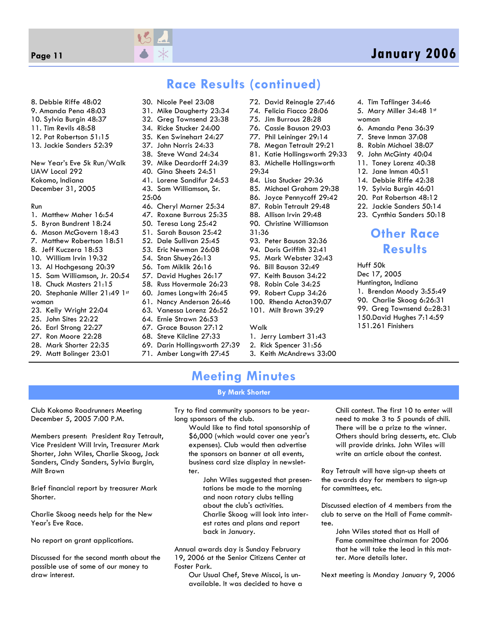

### **Page 11 January 2006**

### **Race Results (continued)**

8. Debbie Riffe 48:02 9. Amanda Pena 48:03 10. Sylvia Burgin 48:37 11. Tim Revils 48:58 12. Pat Robertson 51:15 13. Jackie Sanders 52:39 New Year's Eve 5k Run/Walk

UAW Local 292 Kokomo, Indiana December 31, 2005

#### Run

- 1. Matthew Maher 16:54
- 5. Byron Bundrent 18:24
- 6. Mason McGovern 18:43
- 7. Matthew Robertson 18:51
- 8. Jeff Kuczera 18:53
- 10. William Irvin 19:32
- 13. Al Hochgesang 20:39
- 15. Sam Williamson, Jr. 20:54
- 18. Chuck Masters 21:15
- 20. Stephanie Miller 21:49 1st woman
- 23. Kelly Wright 22:04
- 25. John Sites 22:22
- 26. Earl Strong 22:27
- 27. Ron Moore 22:28
- 28. Mark Shorter 22:35
- 29. Matt Bolinger 23:01

35. Ken Swinehart 24:27 37. John Norris 24:33 38. Steve Wand 24:34 39. Mike Deardorff 24:39 40. Gina Sheets 24:51 41. Lorene Sandifur 24:53 43. Sam Williamson, Sr. 25:06

30. Nicole Peel 23:08 31. Mike Daugherty 23:34 32. Greg Townsend 23:38 34. Ricke Stucker 24:00

- 46. Cheryl Marner 25:34
- 47. Roxane Burrous 25:35
- 50. Teresa Long 25:42
- 51. Sarah Bauson 25:42
- 52. Dale Sullivan 25:45
- 53. Eric Newman 26:08
- 54. Stan Shuey26:13
- 56. Tom Miklik 26:16
- 57. David Hughes 26:17 58. Russ Hovermale 26:23
- 60. James Longwith 26:45
- 61. Nancy Anderson 26:46
- 63. Vanessa Lorenz 26:52
- 64. Ernie Strawn 26:53
- 67. Grace Bauson 27:12
- 68. Steve Kilcline 27:33
- 69. Darin Hollingsworth 27:39
- 71. Amber Longwith 27:45
- 72. David Reinagle 27:46
	- 74. Felicia Fiacco 28:06
	- 75. Jim Burrous 28:28
	- 76. Cassie Bauson 29:03
- 77. Phil Leininger 29:14
- 78. Megan Tetrault 29:21
- 81. Katie Hollingsworth 29:33
- 83. Michelle Hollingsworth
- 29:34
- 84. Lisa Stucker 29:36
- 85. Michael Graham 29:38
- 86. Joyce Pennycoff 29:42
- 87. Robin Tetrault 29:48
- 88. Allison Irvin 29:48
- 90. Christine Williamson
- 31:36
- 93. Peter Bauson 32:36
- 94. Doris Griffith 32:41
- 95. Mark Webster 32:43
- 96. Bill Bauson 32:49
- 97. Keith Bauson 34:22
- 98. Robin Cole 34:25
- 99. Robert Cupp 34:26
- 100. Rhenda Acton39:07
- 101. Milt Brown 39:29

#### Walk

- 1. Jerry Lambert 31:43
- 2. Rick Spencer 31:56
- 3. Keith McAndrews 33:00
- 4. Tim Taflinger 34:46 5. Mary Miller 34:48 1st
- woman
- 6. Amanda Pena 36:39
- 7. Steve Inman 37:08
- 8. Robin Michael 38:07
- 9. John McGinty 40:04 11. Toney Lorenz 40:38
- 12. Jane Inman 40:51
- 14. Debbie Riffe 42:38
- 19. Sylvia Burgin 46:01
- 20. Pat Robertson 48:12
- 22. Jackie Sanders 50:14
	- 23. Cynthia Sanders 50:18

### **Other Race Results**

Huff 50k Dec 17, 2005 Huntington, Indiana 1. Brendon Moody 3:55:49 90. Charlie Skoog 6:26:31 99. Greg Townsend 6::28:31 150.David Hughes 7:14:59 151.261 Finishers

# **Meeting Minutes**

#### **By Mark Shorter**

Club Kokomo Roadrunners Meeting December 5, 2005 7:00 P.M.

Members present: President Ray Tetrault, Vice President Will Irvin, Treasurer Mark Shorter, John Wiles, Charlie Skoog, Jack Sanders, Cindy Sanders, Sylvia Burgin, Milt Brown

Brief financial report by treasurer Mark Shorter.

Charlie Skoog needs help for the New Year's Eve Race.

No report on grant applications.

Discussed for the second month about the possible use of some of our money to draw interest.

Try to find community sponsors to be yearlong sponsors of the club.

Would like to find total sponsorship of \$6,000 (which would cover one year's expenses). Club would then advertise the sponsors on banner at all events, business card size display in newsletter.

John Wiles suggested that presentations be made to the morning and noon rotary clubs telling about the club's activities. Charlie Skoog will look into interest rates and plans and report back in January.

Annual awards day is Sunday February 19, 2006 at the Senior Citizens Center at Foster Park.

Our Usual Chef, Steve Miscoi, is unavailable. It was decided to have a

Chili contest. The first 10 to enter will need to make 3 to 5 pounds of chili. There will be a prize to the winner. Others should bring desserts, etc. Club will provide drinks. John Wiles will write an article about the contest.

Ray Tetrault will have sign-up sheets at the awards day for members to sign-up for committees, etc.

Discussed election of 4 members from the club to serve on the Hall of Fame committee.

> John Wiles stated that as Hall of Fame committee chairman for 2006 that he will take the lead in this matter. More details later.

Next meeting is Monday January 9, 2006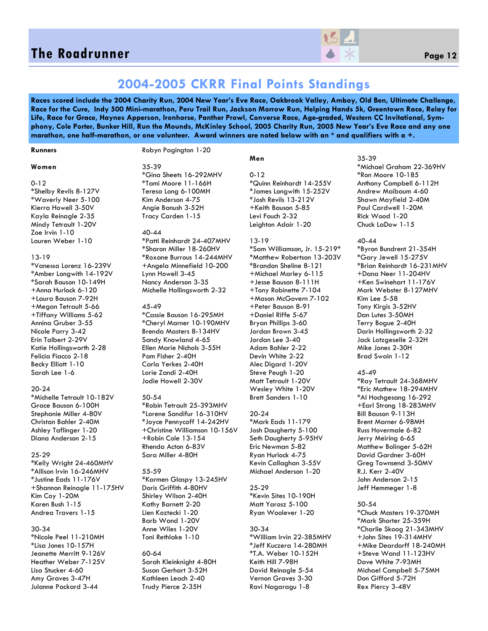### **The Roadrunner** *Page 12* **<b>Page 12** *Page 12*



### **2004-2005 CKRR Final Points Standings**

**Races scored include the 2004 Charity Run, 2004 New Year's Eve Race, Oakbrook Valley, Amboy, Old Ben, Ultimate Challenge, Race for the Cure, Indy 500 Mini-marathon, Peru Trail Run, Jackson Morrow Run, Helping Hands 5k, Greentown Race, Relay for Life, Race for Grace, Haynes Apperson, Ironhorse, Panther Prowl, Converse Race, Age-graded, Western CC Invitational, Symphony, Cole Porter, Bunker Hill, Run the Mounds, McKinley School, 2005 Charity Run, 2005 New Year's Eve Race and any one marathon, one half-marathon, or one volunteer. Award winners are noted below with an \* and qualifiers with a +.** 

#### **Runners**

#### Robyn Pagington 1-20

#### **Women**

0-12

\*Shelby Revils 8-127V \*Waverly Neer 5-100 Kierra Howell 3-50V Kayla Reinagle 2-35 Mindy Tetrault 1-20V Zoe Irvin 1-10 Lauren Weber 1-10

#### 13-19

\*Vanessa Lorenz 16-239V \*Amber Longwith 14-192V \*Sarah Bauson 10-149H +Anna Hurlock 6-120 +Laura Bauson 7-92H +Megan Tetrault 5-66 +Tiffany Williams 5-62 Annina Gruber 3-55 Nicole Parry 3-42 Erin Talbert 2-29V Katie Hollingsworth 2-28 Felicia Fiacco 2-18 Becky Elliott 1-10 Sarah Lee 1-6

#### 20-24

\*Michelle Tetrault 10-182V Grace Bauson 6-100H Stephanie Miller 4-80V Christan Bahler 2-40M Ashley Taflinger 1-20 Diana Anderson 2-15

#### 25-29

\*Kelly Wright 24-460MHV \*Allison Irvin 16-246MHV \*Justine Eads 11-176V +Shannon Reinagle 11-175HV Kim Coy 1-20M Karen Bush 1-15 Andrea Travers 1-15

#### 30-34

\*Nicole Peel 11-210MH \*Lisa Jones 10-157H Jeanette Merritt 9-126V Heather Weber 7-125V Lisa Stucker 4-60 Amy Graves 3-47H Julanne Packard 3-44

35-39 \*Gina Sheets 16-292MHV \*Tami Moore 11-166H Teresa Long 6-100MH Kim Anderson 4-75 Angie Banush 3-52H Tracy Carden 1-15

#### 40-44

\*Patti Reinhardt 24-407MHV \*Sharon Miller 18-260HV \*Roxane Burrous 14-244MHV +Angela Minnefield 10-200 Lynn Howell 3-45 Nancy Anderson 3-35 Michelle Hollingsworth 2-32

#### 45-49

\*Cassie Bauson 16-295MH \*Cheryl Marner 10-190MHV Brenda Masters 8-134HV Sandy Knowland 4-65 Ellen Marie Nichols 3-55H Pam Fisher 2-40H Carla Yerkes 2-40H Lorie Zandi 2-40H Jodie Howell 2-30V

#### 50-54

\*Robin Tetrault 25-393MHV \*Lorene Sandifur 16-310HV \*Joyce Pennycoff 14-242HV +Christine Williamson 10-156V +Robin Cole 13-154 Rhenda Acton 6-83V Sara Miller 4-80H

#### 55-59

\*Karmen Glaspy 13-245HV Doris Griffith 4-80HV Shirley Wilson 2-40H Kathy Barnett 2-20 Lien Koztecki 1-20 Barb Wand 1-20V Anne Wiles 1-20V Toni Rethlake 1-10

### 60-64 Sarah Kleinknight 4-80H

Susan Gerhart 3-52H Kathleen Leach 2-40 Trudy Pierce 2-35H

### **Men**

0-12 \*Quinn Reinhardt 14-255V \*James Longwith 15-252V \*Josh Revils 13-212V +Keith Bauson 5-85 Levi Fouch 2-32 Leighton Adair 1-20

#### 13-19

\*Sam Williamson, Jr. 15-219\* \*Matthew Robertson 13-203V \*Brandon Sheline 8-121 +Michael Marley 6-115 +Jesse Bauson 8-111H +Tony Robinette 7-104 +Mason McGovern 7-102 +Peter Bauson 8-91 +Daniel Riffe 5-67 Bryan Phillips 3-60 Jordan Brown 3-45 Jordan Lee 3-40 Adam Bahler 2-22 Devin White 2-22 Alec Digard 1-20V Steve Peugh 1-20 Matt Tetrault 1-20V Wesley White 1-20V Brett Sanders 1-10

#### $20 - 24$

\*Mark Eads 11-179 Josh Daugherty 5-100 Seth Daugherty 5-95HV Eric Newman 5-82 Ryan Hurlock 4-75 Kevin Callaghan 3-55V Michael Anderson 1-20

#### 25-29

\*Kevin Sites 10-190H Matt Yarosz 5-100 Ryan Woolever 1-20

### 30-34

\*William Irvin 22-385MHV \*Jeff Kuczera 14-280MH \*T.A. Weber 10-152H Keith Hill 7-98H David Reinagle 5-54 Vernon Graves 3-30 Ravi Nagaragu 1-8

#### 35-39

\*Michael Graham 22-369HV \*Ron Moore 10-185 Anthony Campbell 6-112H Andrew Maibaum 4-60 Shawn Mayfield 2-40M Paul Cardwell 1-20M Rick Wood 1-20 Chuck LaDow 1-15

#### 40-44

\*Byron Bundrent 21-354H \*Gary Jewell 15-275V \*Brian Reinhardt 16-231MHV +Dana Neer 11-204HV +Ken Swinehart 11-176V Mark Webster 8-127MHV Kim Lee 5-58 Tony Kirgis 3-52HV Dan Lutes 3-50MH Terry Bogue 2-40H Darin Hollingsworth 2-32 Jack Lotzgeselle 2-32H Mike Jones 2-30H Brad Swain 1-12

#### 45-49

\*Ray Tetrault 24-368MHV \*Eric Mathew 18-294MHV \*Al Hochgesang 16-292 +Earl Strong 18-283MHV Bill Bauson 9-113H Brent Marner 6-98MH Russ Hovermale 6-82 Jerry Meiring 6-65 Matthew Bolinger 5-62H David Gardner 3-60H Greg Townsend 3-50MV R.J. Kerr 2-40V John Anderson 2-15 Jeff Hemmeger 1-8

#### 50-54

\*Chuck Masters 19-370MH \*Mark Shorter 25-359H \*Charlie Skoog 21-343MHV +John Sites 19-314MHV +Mike Deardorff 18-240MH +Steve Wand 11-123HV Dave White 7-93MH Michael Campbell 5-75MH Don Gifford 5-72H Rex Piercy 3-48V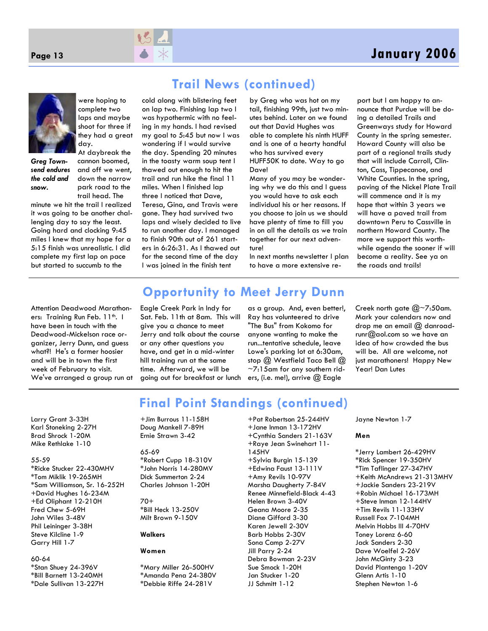



were hoping to complete two laps and maybe shoot for three if they had a great day.

*Greg Townsend endures the cold and snow.* 

At daybreak the cannon boomed, and off we went, down the narrow park road to the trail head. The

minute we hit the trail I realized it was going to be another challenging day to say the least. Going hard and clocking 9:45 miles I knew that my hope for a 5:15 finish was unrealistic. I did complete my first lap on pace but started to succumb to the

cold along with blistering feet on lap two. Finishing lap two I was hypothermic with no feeling in my hands. I had revised my goal to 5:45 but now I was wondering if I would survive the day. Spending 20 minutes in the toasty warm soup tent I thawed out enough to hit the trail and run hike the final 11 miles. When I finished lap three I noticed that Dave, Teresa, Gina, and Travis were gone. They had survived two laps and wisely decided to live to run another day. I managed to finish 90th out of 261 starters in 6:26:31. As I thawed out for the second time of the day I was joined in the finish tent

# **Trail News (continued)**

by Greg who was hot on my tail, finishing 99th, just two minutes behind. Later on we found out that David Hughes was able to complete his ninth HUFF and is one of a hearty handful who has survived every HUFF50K to date. Way to go

Dave!

Many of you may be wondering why we do this and I guess you would have to ask each individual his or her reasons. If you choose to join us we should have plenty of time to fill you in on all the details as we train together for our next adventure!

In next months newsletter I plan to have a more extensive re-

port but I am happy to announce that Purdue will be doing a detailed Trails and Greenways study for Howard County in the spring semester. Howard County will also be part of a regional trails study that will include Carroll, Clinton, Cass, Tippecanoe, and White Counties. In the spring, paving of the Nickel Plate Trail will commence and it is my hope that within 3 years we will have a paved trail from downtown Peru to Cassville in northern Howard County. The more we support this worthwhile agenda the sooner if will become a reality. See ya on the roads and trails!

#### Attention Deadwood Marathoners: Training Run Feb. 11<sup>th</sup>. I have been in touch with the Deadwood-Mickelson race organizer, Jerry Dunn, and guess what?! He's a former hoosier and will be in town the first week of February to visit. We've arranged a group run at

# **Opportunity to Meet Jerry Dunn**

**Final Point Standings (continued)** 

Eagle Creek Park in Indy for Sat. Feb. 11th at 8am. This will give you a chance to meet Jerry and talk about the course or any other questions you have, and get in a mid-winter hill training run at the same time. Afterward, we will be going out for breakfast or lunch

as a group. And, even better!, Ray has volunteered to drive "The Bus" from Kokomo for anyone wanting to make the run...tentative schedule, leave Lowe's parking lot at 6:30am, stop @ Westfield Taco Bell @  $\sim$ 7:15am for any southern riders, (i.e. me!), arrive @ Eagle

Creek north gate  $@$ ~7:50am. Mark your calendars now and drop me an email  $@$  danroadrunr@aol.com so we have an idea of how crowded the bus will be. All are welcome, not just marathoners! Happy New Year! Dan Lutes

Larry Grant 3-33H Karl Stoneking 2-27H Brad Shrock 1-20M Mike Rethlake 1-10

#### 55-59

\*Ricke Stucker 22-430MHV \*Tom Miklik 19-265MH \*Sam Williamson, Sr. 16-252H +David Hughes 16-234M +Ed Oliphant 12-210H Fred Chew 5-69H John Wiles 3-48V Phil Leininger 3-38H Steve Kilcline 1-9 Garry Hill 1-7

#### 60-64

\*Stan Shuey 24-396V \*Bill Barnett 13-240MH \*Dale Sullivan 13-227H +Jim Burrous 11-158H Doug Mankell 7-89H Ernie Strawn 3-42

#### 65-69

\*Robert Cupp 18-310V \*John Norris 14-280MV Dick Summerton 2-24 Charles Johnson 1-20H

#### 70+ \*Bill Heck 13-250V

Milt Brown 9-150V

### **Walkers**

### **Women**

\*Mary Miller 26-500HV \*Amanda Pena 24-380V \*Debbie Riffe 24-281V

+Pat Robertson 25-244HV +Jane Inman 13-172HV +Cynthia Sanders 21-163V +Raye Jean Swinehart 11- 145HV +Sylvia Burgin 15-139 +Edwina Faust 13-111V +Amy Revils 10-97V Marsha Daugherty 7-84V Renee Minnefield-Black 4-43 Helen Brown 3-40V Geana Moore 2-35 Diane Gifford 3-30 Karen Jewell 2-30V Barb Hobbs 2-30V Sona Camp 2-27V Jill Parry 2-24 Debra Bowman 2-23V Sue Smock 1-20H Jan Stucker 1-20 JJ Schmitt 1-12

Jayne Newton 1-7

#### **Men**

\*Jerry Lambert 26-429HV \*Rick Spencer 19-350HV \*Tim Taflinger 27-347HV +Keith McAndrews 21-313MHV +Jackie Sanders 23-219V +Robin Michael 16-173MH +Steve Inman 12-144HV +Tim Revils 11-133HV Russell Fox 7-104MH Melvin Hobbs III 4-70HV Toney Lorenz 6-60 Jack Sanders 2-30 Dave Woelfel 2-26V John McGinty 3-23 David Plantenga 1-20V Glenn Artis 1-10 Stephen Newton 1-6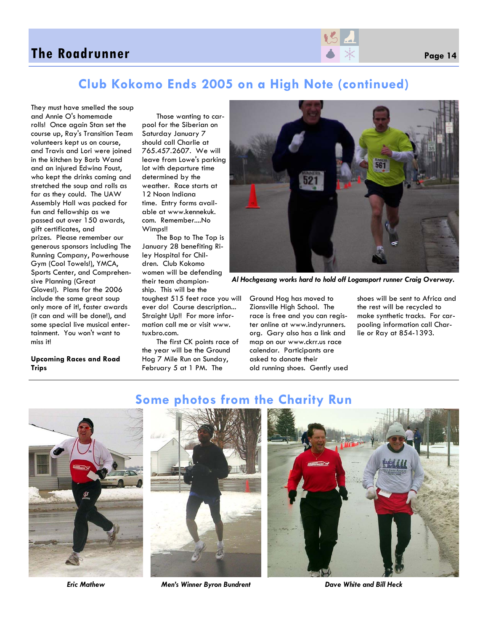### **The Roadrunner** *Page 14* **<b>Page 14** *Page 14*

### **Club Kokomo Ends 2005 on a High Note (continued)**

They must have smelled the soup and Annie O's homemade rolls! Once again Stan set the course up, Ray's Transition Team volunteers kept us on course, and Travis and Lori were joined in the kitchen by Barb Wand and an injured Edwina Foust, who kept the drinks coming and stretched the soup and rolls as far as they could. The UAW Assembly Hall was packed for fun and fellowship as we passed out over 150 awards, gift certificates, and prizes. Please remember our generous sponsors including The Running Company, Powerhouse Gym (Cool Towels!), YMCA, Sports Center, and Comprehensive Planning (Great Gloves!). Plans for the 2006 include the same great soup only more of it!, faster awards (it can and will be done!), and some special live musical entertainment. You won't want to miss it!

#### **Upcoming Races and Road Trips**

Those wanting to carpool for the Siberian on Saturday January 7 should call Charlie at 765.457.2607. We will leave from Lowe's parking lot with departure time determined by the weather. Race starts at 12 Noon Indiana time. Entry forms available at www.kennekuk. com. Remember....No Wimps!!

The Bop to The Top is January 28 benefiting Riley Hospital for Children. Club Kokomo women will be defending their team championship. This will be the

toughest 515 feet race you will ever do! Course description... Straight Up!! For more information call me or visit www. tuxbro.com.

The first CK points race of the year will be the Ground Hog 7 Mile Run on Sunday, February 5 at 1 PM. The



*Al Hochgesang works hard to hold off Logansport runner Craig Overway.* 

Ground Hog has moved to Zionsville High School. The race is free and you can register online at www.indyrunners. org. Gary also has a link and map on our www.ckrr.us race calendar. Participants are asked to donate their old running shoes. Gently used

shoes will be sent to Africa and the rest will be recycled to make synthetic tracks. For carpooling information call Charlie or Ray at 854-1393.



# **Some photos from the Charity Run**





*Eric Mathew Men's Winner Byron Bundrent Dave White and Bill Heck*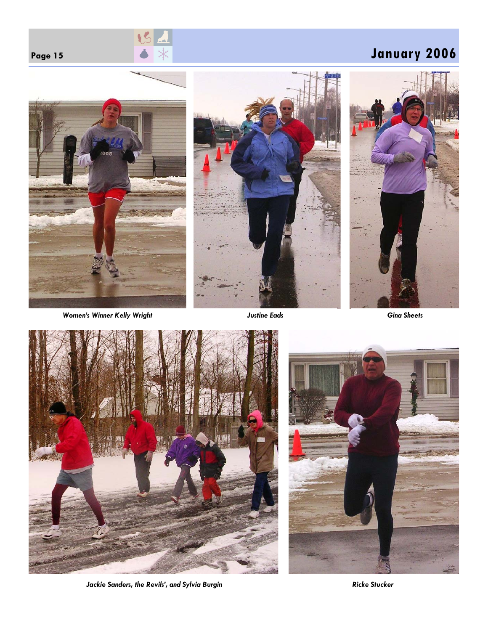





*Women's Winner Kelly Wright Justine Eads Gina Sheets* 







Jackie Sanders, the Revils', and Sylvia Burgin **Ricke Stucker** *Ricke Stucker Ricke Stucker*